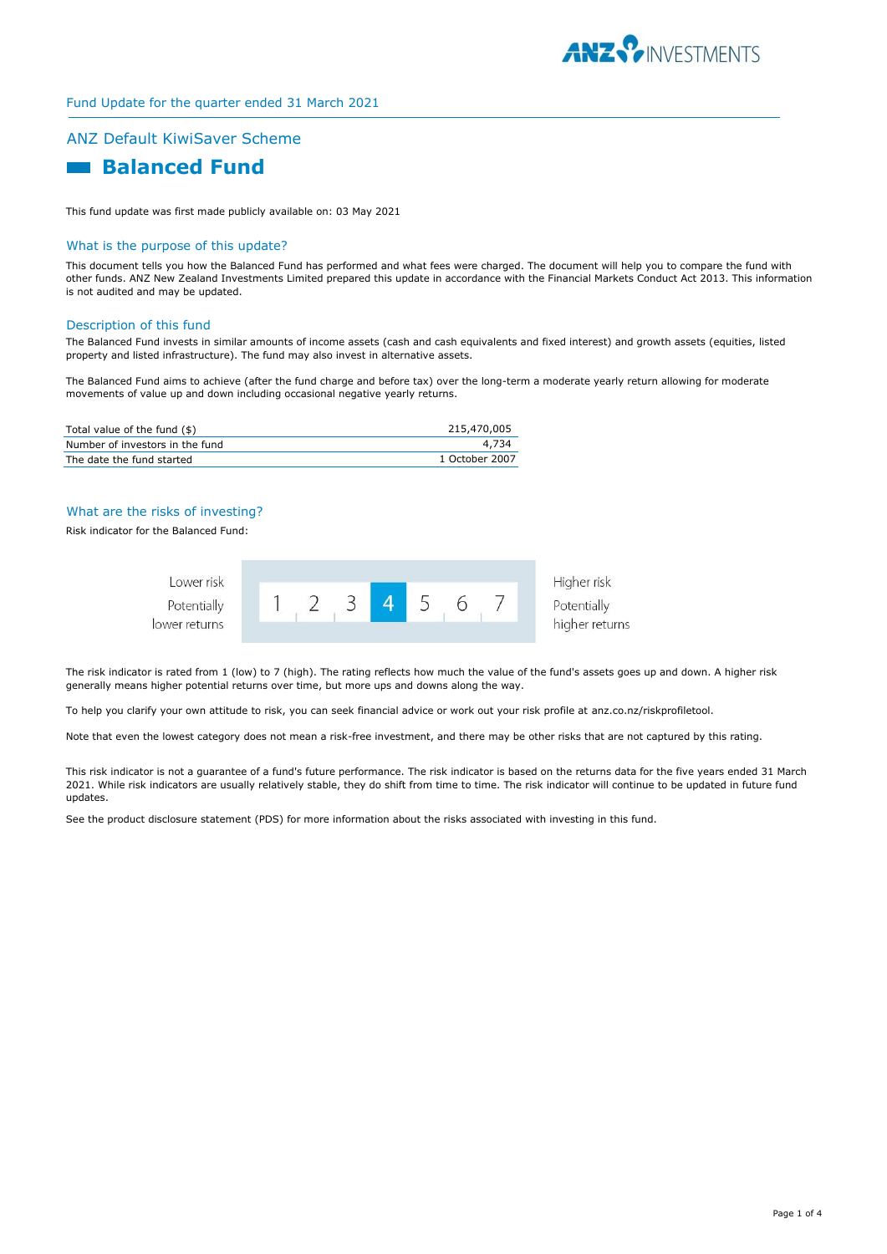

# Fund Update for the quarter ended 31 March 2021

# ANZ Default KiwiSaver Scheme

# **Balanced Fund**

This fund update was first made publicly available on: 03 May 2021

#### What is the purpose of this update?

This document tells you how the Balanced Fund has performed and what fees were charged. The document will help you to compare the fund with other funds. ANZ New Zealand Investments Limited prepared this update in accordance with the Financial Markets Conduct Act 2013. This information is not audited and may be updated.

#### Description of this fund

The Balanced Fund invests in similar amounts of income assets (cash and cash equivalents and fixed interest) and growth assets (equities, listed property and listed infrastructure). The fund may also invest in alternative assets.

The Balanced Fund aims to achieve (after the fund charge and before tax) over the long-term a moderate yearly return allowing for moderate movements of value up and down including occasional negative yearly returns.

| Total value of the fund (\$)    | 215,470,005    |
|---------------------------------|----------------|
| Number of investors in the fund | 4.734          |
| The date the fund started       | 1 October 2007 |

#### What are the risks of investing?

Risk indicator for the Balanced Fund:



The risk indicator is rated from 1 (low) to 7 (high). The rating reflects how much the value of the fund's assets goes up and down. A higher risk generally means higher potential returns over time, but more ups and downs along the way.

To help you clarify your own attitude to risk, you can seek financial advice or work out your risk profile at anz.co.nz/riskprofiletool.

Note that even the lowest category does not mean a risk-free investment, and there may be other risks that are not captured by this rating.

This risk indicator is not a guarantee of a fund's future performance. The risk indicator is based on the returns data for the five years ended 31 March 2021. While risk indicators are usually relatively stable, they do shift from time to time. The risk indicator will continue to be updated in future fund updates.

See the product disclosure statement (PDS) for more information about the risks associated with investing in this fund.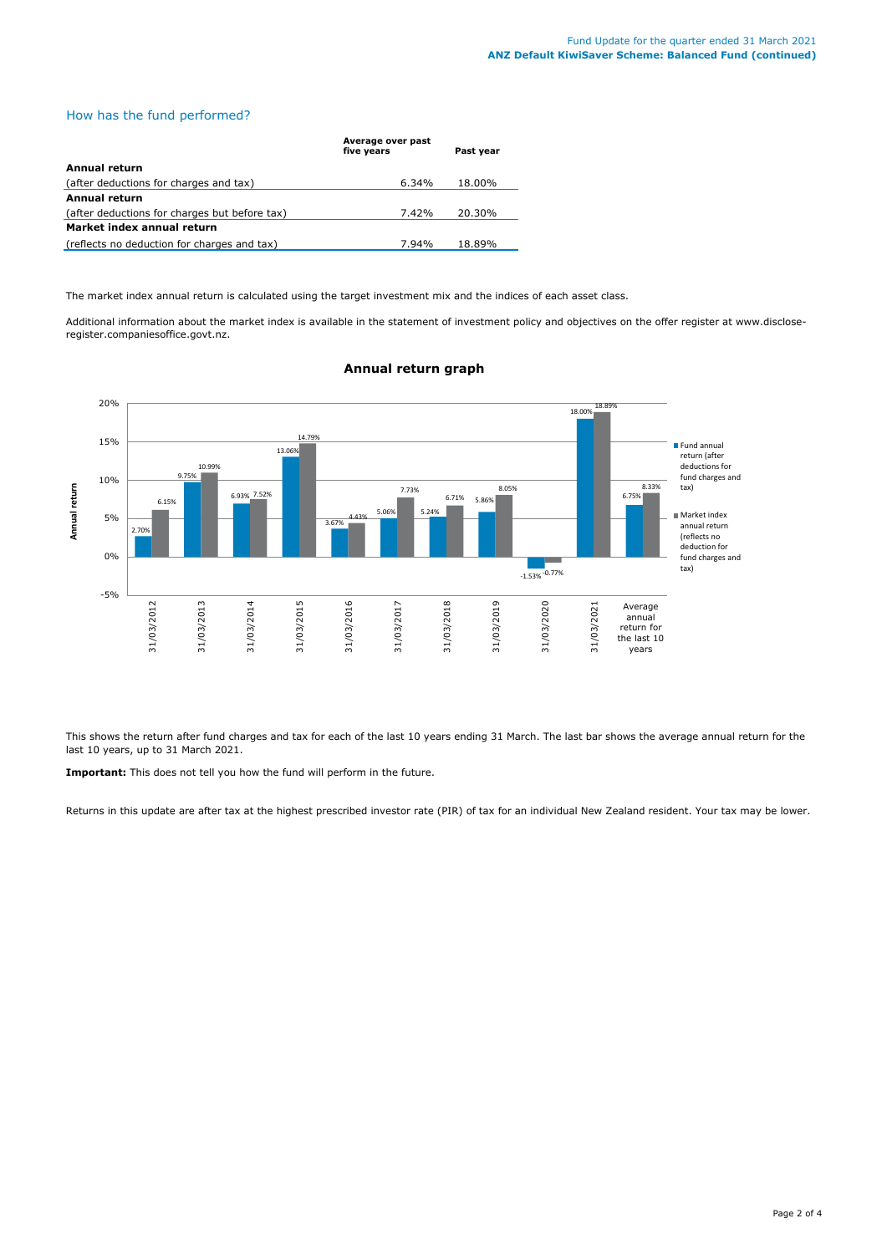# How has the fund performed?

|                                               | Average over past<br>five years | Past year |
|-----------------------------------------------|---------------------------------|-----------|
| Annual return                                 |                                 |           |
| (after deductions for charges and tax)        | 6.34%                           | 18.00%    |
| Annual return                                 |                                 |           |
| (after deductions for charges but before tax) | 7.42%                           | 20.30%    |
| Market index annual return                    |                                 |           |
| (reflects no deduction for charges and tax)   | 7.94%                           | 18.89%    |

The market index annual return is calculated using the target investment mix and the indices of each asset class.

Additional information about the market index is available in the statement of investment policy and objectives on the offer register at www.discloseregister.companiesoffice.govt.nz.



# **Annual return graph**

This shows the return after fund charges and tax for each of the last 10 years ending 31 March. The last bar shows the average annual return for the last 10 years, up to 31 March 2021.

**Important:** This does not tell you how the fund will perform in the future.

Returns in this update are after tax at the highest prescribed investor rate (PIR) of tax for an individual New Zealand resident. Your tax may be lower.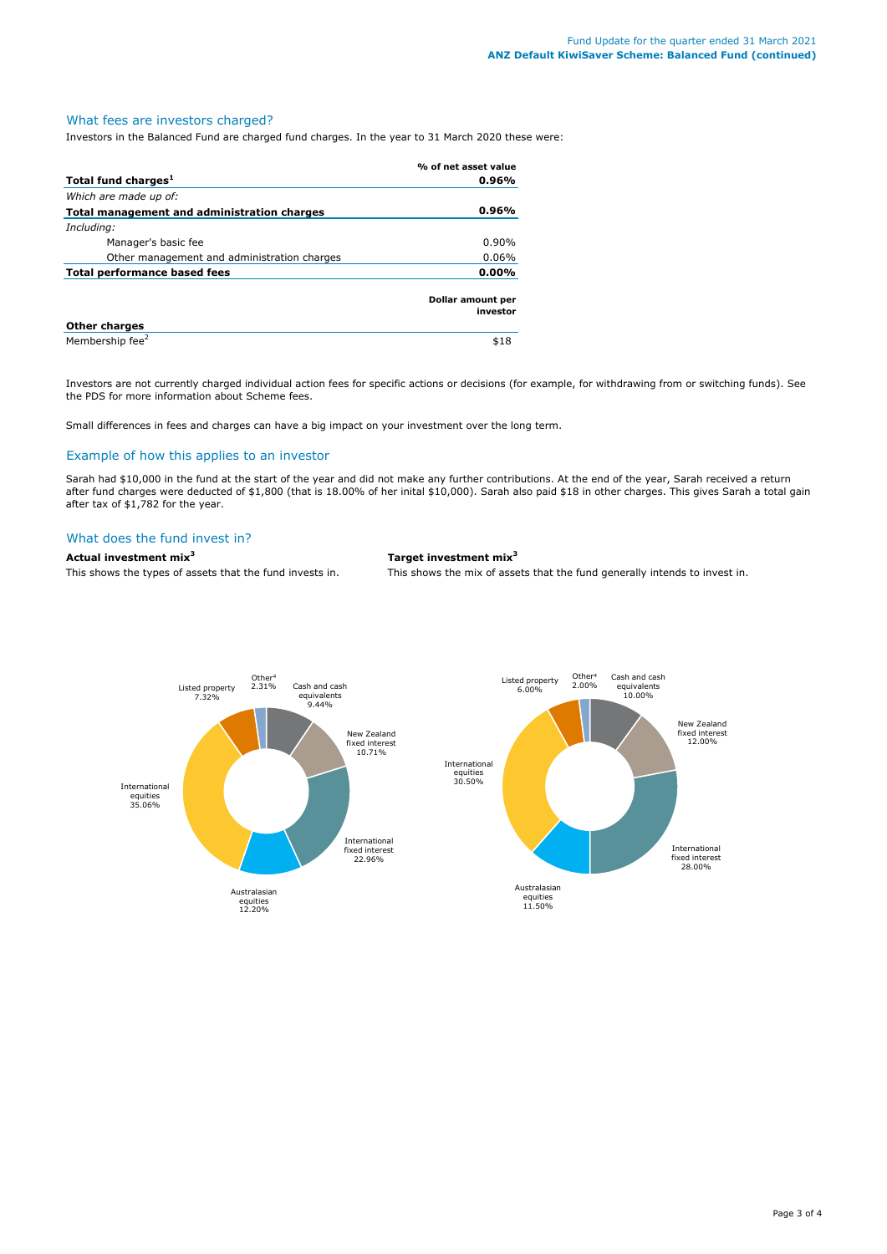# What fees are investors charged?

Investors in the Balanced Fund are charged fund charges. In the year to 31 March 2020 these were:

|                                             | % of net asset value          |
|---------------------------------------------|-------------------------------|
| Total fund charges <sup>1</sup>             | 0.96%                         |
| Which are made up of:                       |                               |
| Total management and administration charges | 0.96%                         |
| Including:                                  |                               |
| Manager's basic fee                         | $0.90\%$                      |
| Other management and administration charges | 0.06%                         |
| Total performance based fees                | 0.00%                         |
|                                             | Dollar amount per<br>investor |
| <b>Other charges</b>                        |                               |
| Membership fee <sup>2</sup>                 | \$18                          |

Investors are not currently charged individual action fees for specific actions or decisions (for example, for withdrawing from or switching funds). See the PDS for more information about Scheme fees.

Small differences in fees and charges can have a big impact on your investment over the long term.

# Example of how this applies to an investor

Sarah had \$10,000 in the fund at the start of the year and did not make any further contributions. At the end of the year, Sarah received a return after fund charges were deducted of \$1,800 (that is 18.00% of her inital \$10,000). Sarah also paid \$18 in other charges. This gives Sarah a total gain after tax of \$1,782 for the year.

#### What does the fund invest in?

# **Actual investment mix<sup>3</sup> Target investment mix<sup>3</sup>**

This shows the types of assets that the fund invests in. This shows the mix of assets that the fund generally intends to invest in.